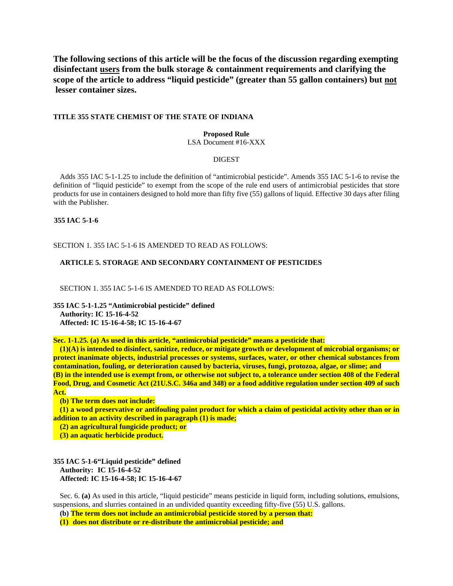**The following sections of this article will be the focus of the discussion regarding exempting disinfectant users from the bulk storage & containment requirements and clarifying the scope of the article to address "liquid pesticide" (greater than 55 gallon containers) but not lesser container sizes.** 

#### **TITLE 355 STATE CHEMIST OF THE STATE OF INDIANA**

### **Proposed Rule**

LSA Document #16-XXX

### DIGEST

Adds 355 IAC 5-1-1.25 to include the definition of "antimicrobial pesticide". Amends 355 IAC 5-1-6 to revise the definition of "liquid pesticide" to exempt from the scope of the rule end users of antimicrobial pesticides that store products for use in containers designed to hold more than fifty five (55) gallons of liquid. Effective 30 days after filing with the Publisher.

## **355 IAC 5-1-6**

SECTION 1. 355 IAC 5-1-6 IS AMENDED TO READ AS FOLLOWS:

#### **ARTICLE 5. STORAGE AND SECONDARY CONTAINMENT OF PESTICIDES**

SECTION 1. 355 IAC 5-1-6 IS AMENDED TO READ AS FOLLOWS:

**355 IAC 5-1-1.25 "Antimicrobial pesticide" defined Authority: IC 15-16-4-52 Affected: IC 15-16-4-58; IC 15-16-4-67** 

**Sec. 1-1.25. (a) As used in this article, "antimicrobial pesticide" means a pesticide that:** 

 **(1)(A) is intended to disinfect, sanitize, reduce, or mitigate growth or development of microbial organisms; or protect inanimate objects, industrial processes or systems, surfaces, water, or other chemical substances from contamination, fouling, or deterioration caused by bacteria, viruses, fungi, protozoa, algae, or slime; and (B) in the intended use is exempt from, or otherwise not subject to, a tolerance under section 408 of the Federal Food, Drug, and Cosmetic Act (21U.S.C. 346a and 348) or a food additive regulation under section 409 of such Act.** 

 **(b) The term does not include:** 

 **(1) a wood preservative or antifouling paint product for which a claim of pesticidal activity other than or in addition to an activity described in paragraph (1) is made;** 

 **(2) an agricultural fungicide product; or** 

 **(3) an aquatic herbicide product.** 

**355 IAC 5-1-6 "Liquid pesticide" defined Authority: IC 15-16-4-52 Affected: IC 15-16-4-58; IC 15-16-4-67**

Sec. 6. **(a)** As used in this article, "liquid pesticide" means pesticide in liquid form, including solutions, emulsions, suspensions, and slurries contained in an undivided quantity exceeding fifty-five (55) U.S. gallons.

**(b) The term does not include an antimicrobial pesticide stored by a person that:** 

**(1) does not distribute or re-distribute the antimicrobial pesticide; and**